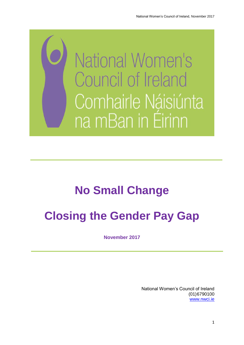

# **No Small Change**

# **Closing the Gender Pay Gap**

**November 2017**

National Women's Council of Ireland (01)6790100 [www.nwci.ie](http://www.nwci.ie/)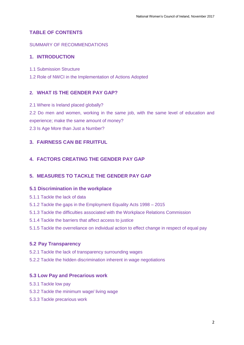## **TABLE OF CONTENTS**

## SUMMARY OF RECOMMENDATIONS

## **1. INTRODUCTION**

- 1.1 Submission Structure
- 1.2 Role of NWCI in the Implementation of Actions Adopted

## **2. WHAT IS THE GENDER PAY GAP?**

- 2.1 Where is Ireland placed globally?
- 2.2 Do men and women, working in the same job, with the same level of education and experience; make the same amount of money?
- 2.3 Is Age More than Just a Number?

## **3. FAIRNESS CAN BE FRUITFUL**

## **4. FACTORS CREATING THE GENDER PAY GAP**

## **5. MEASURES TO TACKLE THE GENDER PAY GAP**

## **5.1 Discrimination in the workplace**

- 5.1.1 Tackle the lack of data
- 5.1.2 Tackle the gaps in the Employment Equality Acts 1998 2015
- 5.1.3 Tackle the difficulties associated with the Workplace Relations Commission
- 5.1.4 Tackle the barriers that affect access to justice
- 5.1.5 Tackle the overreliance on individual action to effect change in respect of equal pay

## **5.2 Pay Transparency**

- 5.2.1 Tackle the lack of transparency surrounding wages
- 5.2.2 Tackle the hidden discrimination inherent in wage negotiations

## **5.3 Low Pay and Precarious work**

- 5.3.1 Tackle low pay
- 5.3.2 Tackle the minimum wage/ living wage
- 5.3.3 Tackle precarious work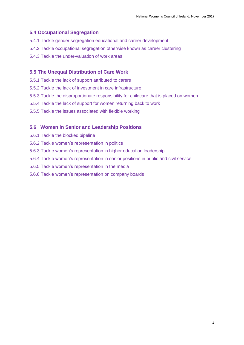## **5.4 Occupational Segregation**

- 5.4.1 Tackle gender segregation educational and career development
- 5.4.2 Tackle occupational segregation otherwise known as career clustering
- 5.4.3 Tackle the under-valuation of work areas

## **5.5 The Unequal Distribution of Care Work**

- 5.5.1 Tackle the lack of support attributed to carers
- 5.5.2 Tackle the lack of investment in care infrastructure
- 5.5.3 Tackle the disproportionate responsibility for childcare that is placed on women
- 5.5.4 Tackle the lack of support for women returning back to work
- 5.5.5 Tackle the issues associated with flexible working

## **5.6 Women in Senior and Leadership Positions**

- 5.6.1 Tackle the blocked pipeline
- 5.6.2 Tackle women's representation in politics
- 5.6.3 Tackle women's representation in higher education leadership
- 5.6.4 Tackle women's representation in senior positions in public and civil service
- 5.6.5 Tackle women's representation in the media
- 5.6.6 Tackle women's representation on company boards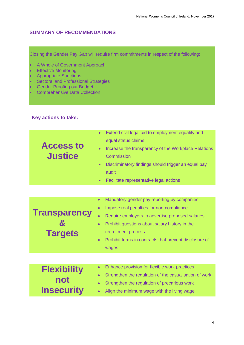# **SUMMARY OF RECOMMENDATIONS**

Closing the Gender Pay Gap will require firm commitments in respect of the following:

- A Whole of Government Approach
- **•** Effective Monitoring
- Appropriate Sanctions
- Sectoral and Professional Strategies
- Gender Proofing our Budget
- Comprehensive Data Collection

## **Key actions to take:**

| <b>Access to</b><br><b>Justice</b>             | Extend civil legal aid to employment equality and<br>$\bullet$<br>equal status claims<br>Increase the transparency of the Workplace Relations<br>Commission<br>Discriminatory findings should trigger an equal pay<br>$\bullet$<br>audit<br>Facilitate representative legal actions                                                         |
|------------------------------------------------|---------------------------------------------------------------------------------------------------------------------------------------------------------------------------------------------------------------------------------------------------------------------------------------------------------------------------------------------|
| <b>Transparency</b><br><b>Targets</b>          | Mandatory gender pay reporting by companies<br>$\bullet$<br>Impose real penalties for non-compliance<br>$\bullet$<br>Require employers to advertise proposed salaries<br>Prohibit questions about salary history in the<br>$\bullet$<br>recruitment process<br>Prohibit terms in contracts that prevent disclosure of<br>$\bullet$<br>wages |
|                                                |                                                                                                                                                                                                                                                                                                                                             |
| <b>Flexibility</b><br>not<br><b>Insecurity</b> | Enhance provision for flexible work practices<br>$\bullet$<br>Strengthen the regulation of the casualisation of work<br>$\bullet$<br>Strengthen the regulation of precarious work<br>$\bullet$<br>Align the minimum wage with the living wage                                                                                               |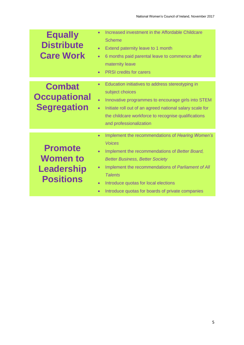| <b>Equally</b><br><b>Distribute</b><br><b>Care Work</b>                    | Increased investment in the Affordable Childcare<br><b>Scheme</b><br>Extend paternity leave to 1 month<br>$\bullet$<br>6 months paid parental leave to commence after<br>$\bullet$<br>maternity leave<br><b>PRSI</b> credits for carers<br>$\bullet$                                                                                                                                               |
|----------------------------------------------------------------------------|----------------------------------------------------------------------------------------------------------------------------------------------------------------------------------------------------------------------------------------------------------------------------------------------------------------------------------------------------------------------------------------------------|
| <b>Combat</b><br><b>Occupational</b><br><b>Segregation</b>                 | Education initiatives to address stereotyping in<br>$\bullet$<br>subject choices<br>Innovative programmes to encourage girls into STEM<br>Initiate roll out of an agreed national salary scale for<br>$\bullet$<br>the childcare workforce to recognise qualifications<br>and professionalization                                                                                                  |
| <b>Promote</b><br><b>Women to</b><br><b>Leadership</b><br><b>Positions</b> | Implement the recommendations of Hearing Women's<br>$\bullet$<br><b>Voices</b><br>Implement the recommendations of Better Board,<br>$\bullet$<br><b>Better Business, Better Society</b><br>Implement the recommendations of Parliament of All<br>$\bullet$<br><b>Talents</b><br>Introduce quotas for local elections<br>$\bullet$<br>Introduce quotas for boards of private companies<br>$\bullet$ |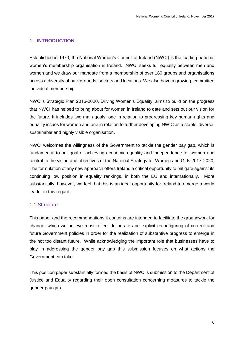## **1. INTRODUCTION**

Established in 1973, the National Women's Council of Ireland (NWCI) is the leading national women's membership organisation in Ireland. NWCI seeks full equality between men and women and we draw our mandate from a membership of over 180 groups and organisations across a diversity of backgrounds, sectors and locations. We also have a growing, committed individual membership.

NWCI's Strategic Plan 2016-2020, Driving Women's Equality, aims to build on the progress that NWCI has helped to bring about for women in Ireland to date and sets out our vision for the future. It includes two main goals, one in relation to progressing key human rights and equality issues for women and one in relation to further developing NWIC as a stable, diverse, sustainable and highly visible organisation.

NWCI welcomes the willingness of the Government to tackle the gender pay gap, which is fundamental to our goal of achieving economic equality and independence for women and central to the vision and objectives of the National Strategy for Women and Girls 2017-2020. The formulation of any new approach offers Ireland a critical opportunity to mitigate against its continuing low position in equality rankings, in both the EU and internationally. More substantially, however, we feel that this is an ideal opportunity for Ireland to emerge a world leader in this regard.

## 1.1 Structure

This paper and the recommendations it contains are intended to facilitate the groundwork for change, which we believe must reflect deliberate and explicit reconfiguring of current and future Government policies in order for the realization of substantive progress to emerge in the not too distant future. While acknowledging the important role that businesses have to play in addressing the gender pay gap this submission focuses on what actions the Government can take.

This position paper substantially formed the basis of NWCI's submission to the Department of Justice and Equality regarding their open consultation concerning measures to tackle the gender pay gap.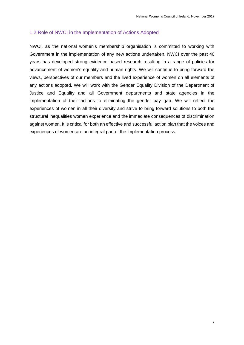## 1.2 Role of NWCI in the Implementation of Actions Adopted

NWCI, as the national women's membership organisation is committed to working with Government in the implementation of any new actions undertaken. NWCI over the past 40 years has developed strong evidence based research resulting in a range of policies for advancement of women's equality and human rights. We will continue to bring forward the views, perspectives of our members and the lived experience of women on all elements of any actions adopted. We will work with the Gender Equality Division of the Department of Justice and Equality and all Government departments and state agencies in the implementation of their actions to eliminating the gender pay gap. We will reflect the experiences of women in all their diversity and strive to bring forward solutions to both the structural inequalities women experience and the immediate consequences of discrimination against women. It is critical for both an effective and successful action plan that the voices and experiences of women are an integral part of the implementation process.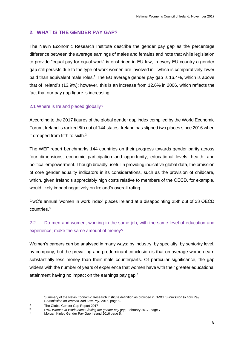## **2. WHAT IS THE GENDER PAY GAP?**

The Nevin Economic Research Institute describe the gender pay gap as the percentage difference between the average earnings of males and females and note that while legislation to provide "equal pay for equal work" is enshrined in EU law, in every EU country a gender gap still persists due to the type of work women are involved in - which is comparatively lower paid than equivalent male roles.<sup>1</sup> The EU average gender pay gap is 16.4%, which is above that of Ireland's (13.9%); however, this is an increase from 12.6% in 2006, which reflects the fact that our pay gap figure is increasing.

## 2.1 Where is Ireland placed globally?

According to the 2017 figures of the global gender gap index compiled by the World Economic Forum, Ireland is ranked 8th out of 144 states. Ireland has slipped two places since 2016 when it dropped from fifth to sixth. $2$ 

The WEF report benchmarks 144 countries on their progress towards gender parity across four dimensions; economic participation and opportunity, educational levels, health, and political empowerment. Though broadly useful in providing indicative global data, the omission of core gender equality indicators in its considerations, such as the provision of childcare, which, given Ireland's appreciably high costs relative to members of the OECD, for example, would likely impact negatively on Ireland's overall rating.

PwC's annual 'women in work index' places Ireland at a disappointing 25th out of 33 OECD countries.<sup>3</sup>

# 2.2 Do men and women, working in the same job, with the same level of education and experience; make the same amount of money?

Women's careers can be analysed in many ways: by industry, by specialty, by seniority level, by company, but the prevailing and predominant conclusion is that on average women earn substantially less money than their male counterparts. Of particular significance, the gap widens with the number of years of experience that women have with their greater educational attainment having no impact on the earnings pay gap.<sup>4</sup>

**.** 

Summary of the Nevin Economic Research Institute definition as provided in NWCI *Submission to Low Pay Commission on Women And Low Pay*, 2016, page 9.

<sup>&</sup>lt;sup>2</sup> The Global Gender Gap Report  $2017$ 

<sup>3</sup> PwC *Women In Work Index Closing the gender pay gap,* February 2017, page 7.

<sup>4</sup> Morgan Kinley Gender Pay Gap Ireland 2016 page 5.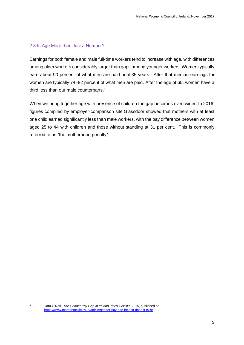## 2.3 Is Age More than Just a Number?

Earnings for both female and male full-time workers tend to increase with age, with differences among older workers considerably larger than gaps among younger workers. Women typically earn about 90 percent of what men are paid until 35 years. After that median earnings for women are typically 74–82 percent of what men are paid. After the age of 65, women have a third less than our male counterparts.<sup>5</sup>

When we bring together age with presence of children the gap becomes even wider. In 2016, figures compiled by employer-comparison site Glassdoor showed that mothers with at least one child earned significantly less than male workers, with the pay difference between women aged 25 to 44 with children and those without standing at 31 per cent. This is commonly referred to as "the motherhood penalty".

 $\overline{5}$ 

<sup>5</sup> Tara O'Neill, *The Gender Pay Gap in Ireland, does it exist?,* 2015, published on <https://www.morganmckinley.ie/article/gender-pay-gap-ireland-does-it-exist>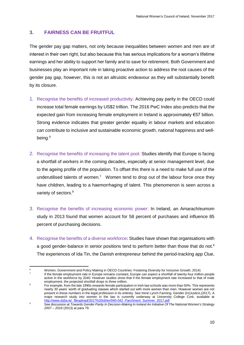## **3. FAIRNESS CAN BE FRUITFUL**

The gender pay gap matters, not only because inequalities between women and men are of interest in their own right, but also because this has serious implications for a woman's lifetime earnings and her ability to support her family and to save for retirement. Both Government and businesses play an important role in taking proactive action to address the root causes of the gender pay gap, however, this is not an altruistic endeavour as they will substantially benefit by its closure.

- 1. Recognise the benefits of increased productivity: Achieving pay parity in the OECD could increase total female earnings by US\$2 trillion. The 2016 PwC Index also predicts that the expected gain from increasing female employment in Ireland is approximately €57 billion. Strong evidence indicates that greater gender equality in labour markets and education can contribute to inclusive and sustainable economic growth, national happiness and wellbeing*.* 6
- 2. Recognise the benefits of increasing the talent pool: Studies identify that Europe is facing a shortfall of workers in the coming decades, especially at senior management level, due to the ageing profile of the population. To offset this there is a need to make full use of the underutilised talents of women.<sup>7</sup> Women tend to drop out of the labour force once they have children, leading to a haemorrhaging of talent. This phenomenon is seen across a variety of sectors.<sup>8</sup>
- 3. Recognise the benefits of increasing economic power: In Ireland, an Amarach/eumom study in 2013 found that women account for 58 percent of purchases and influence 85 percent of purchasing decisions.
- 4. Recognise the benefits of a diverse workforce**:** Studies have shown that organisations with a good gender-balance in senior positions tend to perform better than those that do not.<sup>9</sup> The experiences of Ida Tin, the Danish entrepreneur behind the period-tracking app Clue,

**<sup>.</sup>** <sup>6</sup> Women, Government and Policy Making in OECD Countries: Fostering Diversity for Inclusive Growth, 2014) 7 If the female employment rate in Europe remains constant, Europe can expect a shortfall of twenty-four million people active in the workforce by 2040. However studies show that if the female employment rate increased to that of male employment, the projected shortfall drops to three million.

<sup>&</sup>lt;sup>8</sup> For example, from the late 1990s onwards female participation in Irish law schools was more than 50%. This represents nearly 30 years' worth of graduating classes which started out with more women than men. However women are not present in these numbers in the legal profession in its entirety. See Irene Lynch Fanning, Gender (In)Justice,(2017), A major research study into women in the law is currently underway at University College Cork, available at [http://www.dsba.ie/\\_fileupload/2017%20other/040-042\\_Parchment\\_Summer\\_2017.pdf](http://www.dsba.ie/_fileupload/2017%20other/040-042_Parchment_Summer_2017.pdf)

<sup>9</sup> See discussion at *Towards Gender Parity In Decision-Making In Ireland An Initiative Of The National Women's Strategy 2007 – 2016* (2013) at para 79.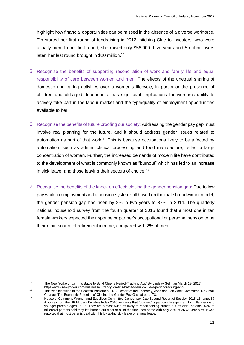highlight how financial opportunities can be missed in the absence of a diverse workforce. Tin started her first round of fundraising in 2012, pitching Clue to investors, who were usually men. In her first round, she raised only \$56,000. Five years and 5 million users later, her last round brought in \$20 million.<sup>10</sup>

- 5. Recognise the benefits of supporting reconciliation of work and family life and equal responsibility of care between women and men: The effects of the unequal sharing of domestic and caring activities over a women's lifecycle, in particular the presence of children and old-aged dependants, has significant implications for women's ability to actively take part in the labour market and the type/quality of employment opportunities available to her.
- 6. Recognise the benefits of future proofing our society: Addressing the gender pay gap must involve real planning for the future, and it should address gender issues related to automation as part of that work.<sup>11</sup> This is because occupations likely to be affected by automation, such as admin, clerical processing and food manufacture, reflect a large concentration of women. Further, the increased demands of modern life have contributed to the development of what is commonly known as "burnout" which has led to an increase in sick leave, and those leaving their sectors of choice. <sup>12</sup>
- 7. Recognise the benefits of the knock on effect; closing the gender pension gap: Due to low pay while in employment and a pension system still based on the male breadwinner model, the gender pension gap had risen by 2% in two years to 37% in 2014. The quarterly national household survey from the fourth quarter of 2015 found that almost one in ten female workers expected their spouse or partner's occupational or personal pension to be their main source of retirement income, compared with 2% of men.

 $10<sub>1</sub>$ 

<sup>10</sup> The New Yorker, 'Ida Tin's Battle to Build Clue, a Period-Tracking App' By Lindsay Gellman March 19, 2017

https://www.newyorker.com/business/currency/ida-tins-battle-to-build-clue-a-period-tracking-app

<sup>11</sup> This was identified in the Scottish Parliament 2017 Report of the Economy, Jobs and Fair Work Committee 'No Small Change: The Economic Potential of Closing the Gender Pay Gap' at para. 78.

<sup>12</sup> House of Commons Women and Equalities Committee Gender pay Gap Second Report of Session 2015-16, para. 57 A survey from the UK Modern Families Index 2016 suggests that "burnout" is particularly significant for millennials and younger parents aged 16-35. They are almost twice as likely to report feeling burned out as older parents: 42% of millennial parents said they felt burned out most or all of the time, compared with only 22% of 36-45 year olds. It was reported that most parents deal with this by taking sick leave or annual leave.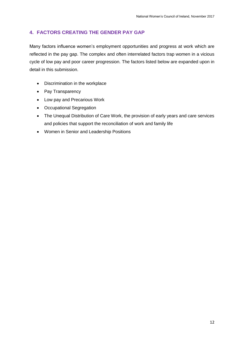# **4. FACTORS CREATING THE GENDER PAY GAP**

Many factors influence women's employment opportunities and progress at work which are reflected in the pay gap. The complex and often interrelated factors trap women in a vicious cycle of low pay and poor career progression. The factors listed below are expanded upon in detail in this submission.

- Discrimination in the workplace
- Pay Transparency
- Low pay and Precarious Work
- Occupational Segregation
- The Unequal Distribution of Care Work, the provision of early years and care services and policies that support the reconciliation of work and family life
- Women in Senior and Leadership Positions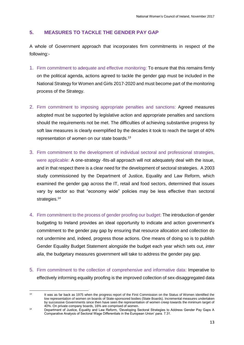## **5. MEASURES TO TACKLE THE GENDER PAY GAP**

A whole of Government approach that incorporates firm commitments in respect of the following:-

- 1. Firm commitment to adequate and effective monitoring: To ensure that this remains firmly on the political agenda, actions agreed to tackle the gender gap must be included in the National Strategy for Women and Girls 2017-2020 and must become part of the monitoring process of the Strategy.
- 2. Firm commitment to imposing appropriate penalties and sanctions: Agreed measures adopted must be supported by legislative action and appropriate penalties and sanctions should the requirements not be met. The difficulties of achieving substantive progress by soft law measures is clearly exemplified by the decades it took to reach the target of 40% representation of women on our state boards.<sup>13</sup>
- 3. Firm commitment to the development of individual sectoral and professional strategies, were applicable: A one-strategy -fits-all approach will not adequately deal with the issue, and in that respect there is a clear need for the development of sectoral strategies. A 2003 study commissioned by the Department of Justice, Equality and Law Reform, which examined the gender gap across the IT, retail and food sectors, determined that issues vary by sector so that "economy wide" policies may be less effective than sectoral strategies.<sup>14</sup>
- 4. Firm commitment to the process of gender proofing our budget: The introduction of gender budgeting to Ireland provides an ideal opportunity to indicate and action government's commitment to the gender pay gap by ensuring that resource allocation and collection do not undermine and, indeed, progress those actions. One means of doing so is to publish Gender Equality Budget Statement alongside the budget each year which sets out, *inter alia*, the budgetary measures government will take to address the gender pay gap.
- 5. Firm commitment to the collection of comprehensive and informative data: Imperative to effectively informing equality proofing is the improved collection of sex-disaggregated data

 $13<sup>13</sup>$ It was as far back as 1975 when the progress report of the First Commission on the Status of Women identified the low representation of women on boards of State-sponsored bodies (State Boards). Incremental measures undertaken by successive Governments since then have seen the representation of women creep towards the minimum target of 40%. On private company boards, 16% are comprised of women.

<sup>14</sup> Department of Justice, Equality and Law Reform, 'Developing Sectoral Strategies to Address Gender Pay Gaps A Comparative Analysis of Sectoral Wage Differentials in the European Union' para. 7.31.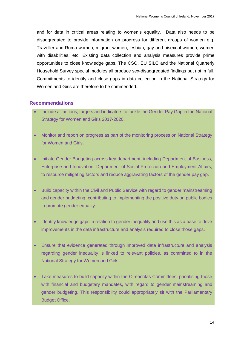and for data in critical areas relating to women's equality. Data also needs to be disaggregated to provide information on progress for different groups of women e.g. Traveller and Roma women, migrant women, lesbian, gay and bisexual women, women with disabilities, etc. Existing data collection and analysis measures provide prime opportunities to close knowledge gaps. The CSO, EU SILC and the National Quarterly Household Survey special modules all produce sex-disaggregated findings but not in full. Commitments to identify and close gaps in data collection in the National Strategy for Women and Girls are therefore to be commended.

#### **Recommendations**

- Include all actions, targets and indicators to tackle the Gender Pay Gap in the National Strategy for Women and Girls 2017-2020.
- Monitor and report on progress as part of the monitoring process on National Strategy for Women and Girls.
- Initiate Gender Budgeting across key department, including Department of Business, Enterprise and Innovation, Department of Social Protection and Employment Affairs, to resource mitigating factors and reduce aggravating factors of the gender pay gap.
- Build capacity within the Civil and Public Service with regard to gender mainstreaming and gender budgeting, contributing to implementing the positive duty on public bodies to promote gender equality.
- Identify knowledge gaps in relation to gender inequality and use this as a base to drive improvements in the data infrastructure and analysis required to close those gaps.
- Ensure that evidence generated through improved data infrastructure and analysis regarding gender inequality is linked to relevant policies, as committed to in the National Strategy for Women and Girls.
- Take measures to build capacity within the Oireachtas Committees, prioritising those with financial and budgetary mandates, with regard to gender mainstreaming and gender budgeting. This responsibility could appropriately sit with the Parliamentary Budget Office.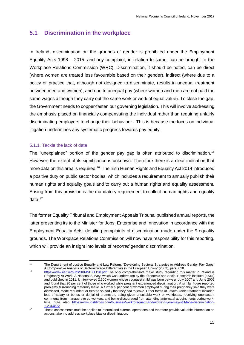# **5.1 Discrimination in the workplace**

In Ireland, discrimination on the grounds of gender is prohibited under the Employment Equality Acts 1998 – 2015, and any complaint, in relation to same, can be brought to the Workplace Relations Commission (WRC). Discrimination, it should be noted, can be direct (where women are treated less favourable based on their gender), indirect (where due to a policy or practice that, although not designed to discriminate, results in unequal treatment between men and women), and due to unequal pay (where women and men are not paid the same wages although they carry out the same work or work of equal value). To close the gap, the Government needs to copper-fasten our governing legislation. This will involve addressing the emphasis placed on financially compensating the individual rather than requiring unfairly discriminating employers to change their behaviour. This is because the focus on individual litigation undermines any systematic progress towards pay equity.

## 5.1.1. Tackle the lack of data

The "unexplained" portion of the gender pay gap is often attributed to discrimination.<sup>15</sup> However, the extent of its significance is unknown. Therefore there is a clear indication that more data on this area is required.<sup>16</sup> The Irish Human Rights and Equality Act 2014 introduced a positive duty on public sector bodies, which includes a requirement to annually publish their human rights and equality goals and to carry out a human rights and equality assessment. Arising from this provision is the mandatory requirement to collect human rights and equality data.<sup>17</sup>

The former Equality Tribunal and Employment Appeals Tribunal published annual reports, the latter presenting its to the Minister for Jobs, Enterprise and Innovation in accordance with the Employment Equality Acts, detailing complaints of discrimination made under the 9 equality grounds. The Workplace Relations Commission will now have responsibility for this reporting, which will provide an insight into levels of *reported* gender discrimination.

 $\frac{1}{15}$  The Department of Justice Equality and Law Reform, "Developing Sectoral Strategies to Address Gender Pay Gaps: A Comparative Analysis of Sectoral Wage Differentials in the European Union" (2003), para 7.28.

<sup>&</sup>lt;sup>16</sup> <https://www.esri.ie/pubs/BKMNEXT190.pdf> The only comprehensive major study regarding this matter in Ireland is Pregnancy At Work: A National Survey, which was undertaken by the Economic and Social Research Institute (ESRI) and published in 2011. It interviewed 2,300 women whose youngest child was born between July 2007 and June 2009 and found that 30 per cent of those who worked while pregnant experienced discrimination. A similar figure reported problems surrounding maternity leave. A further 5 per cent of women employed during their pregnancy said they were dismissed, made redundant or treated so badly that they had to leave. Other forms of unfavourable treatment included loss of salary or bonus or denial of promotion, being given unsuitable work or workloads, receiving unpleasant comments from managers or co-workers, and being discouraged from attending ante-natal appointments during worktime. See also [https://www.irishtimes.com/business/work/pregnant-and-working-you-may-still-face-discrimination-](https://www.irishtimes.com/business/work/pregnant-and-working-you-may-still-face-discrimination-1.2314872)[1.2314872](https://www.irishtimes.com/business/work/pregnant-and-working-you-may-still-face-discrimination-1.2314872)

<sup>17</sup> These assessments must be applied to internal and external operations and therefore provide valuable information on actions taken to address workplace bias or discrimination.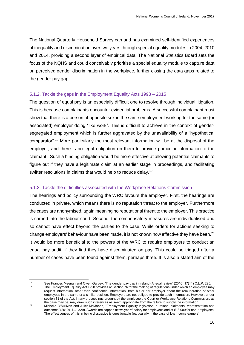The National Quarterly Household Survey can and has examined self-identified experiences of inequality and discrimination over two years through special equality modules in 2004, 2010 and 2014, providing a second layer of empirical data. The National Statistics Board sets the focus of the NQHS and could conceivably prioritise a special equality module to capture data on perceived gender discrimination in the workplace, further closing the data gaps related to the gender pay gap.

## 5.1.2. Tackle the gaps in the Employment Equality Acts 1998 – 2015

The question of equal pay is an especially difficult one to resolve through individual litigation. This is because complainants encounter evidential problems. A successful complainant must show that there is a person of opposite sex in the same employment working for the same (or associated) employer doing "like work". This is difficult to achieve in the context of gendersegregated employment which is further aggravated by the unavailability of a "hypothetical comparator".<sup>18</sup> More particularly the most relevant information will be at the disposal of the employer, and there is no legal obligation on them to provide particular information to the claimant. Such a binding obligation would be more effective at allowing potential claimants to figure out if they have a legitimate claim at an earlier stage in proceedings, and facilitating swifter resolutions in claims that would help to reduce delay.<sup>19</sup>

## 5.1.3. Tackle the difficulties associated with the Workplace Relations Commission

The hearings and policy surrounding the WRC favours the employer. First, the hearings are conducted in private, which means there is no reputation threat to the employer. Furthermore the cases are anonymised, again meaning no reputational threat to the employer. This practice is carried into the labour court. Second, the compensatory measures are individualised and so cannot have effect beyond the parties to the case. While orders for actions seeking to change employers' behaviour have been made, it is not known how effective they have been.<sup>20</sup> It would be more beneficial to the powers of the WRC to require employers to conduct an equal pay audit, if they find they have discriminated on pay. This could be trigged after a number of cases have been found against them, perhaps three. It is also a stated aim of the

 $19$ 

<sup>18</sup> See Frances Meenan and Owen Garvey, "The gender pay gap in Ireland-A legal review" (2010) 17(11) C.L.P. 225. The Employment Equality Act 1998 provides at Section 76 for the making of regulations under which an employee may request information, other than confidential information, from his or her employer about the remuneration of other

employees in the same or a similar position. Employers are not obliged to provide such information. However, under section 81 of the Act, in any proceedings brought by the employee the Court or Workplace Relations Commission, as the case may be, may draw such inferences as seem appropriate from the failure to supply the information.

<sup>&</sup>lt;sup>20</sup> Michelle O'Sullivan and Juliet McMahon, "Employment Equality legislation in Ireland: claimants, representation and outcomes" (2010) I.L.J. 329). Awards are capped at two years' salary for employees and at €13,000 for non-employees. The effectiveness of this in being dissuasive is questionable (particularly in the case of low income earners)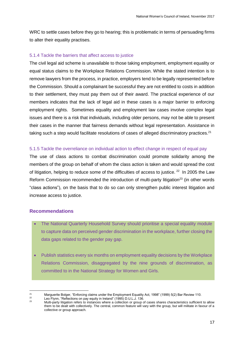WRC to settle cases before they go to hearing; this is problematic in terms of persuading firms to alter their equality practises.

## 5.1.4 Tackle the barriers that affect access to justice

The civil legal aid scheme is unavailable to those taking employment, employment equality or equal status claims to the Workplace Relations Commission. While the stated intention is to remove lawyers from the process, in practice, employers tend to be legally represented before the Commission. Should a complainant be successful they are not entitled to costs in addition to their settlement, they must pay them out of their award. The practical experience of our members indicates that the lack of legal aid in these cases is a major barrier to enforcing employment rights. Sometimes equality and employment law cases involve complex legal issues and there is a risk that individuals, including older persons, may not be able to present their cases in the manner that fairness demands without legal representation. Assistance in taking such a step would facilitate resolutions of cases of alleged discriminatory practices.<sup>21</sup>

## 5.1.5 Tackle the overreliance on individual action to effect change in respect of equal pay

The use of class actions to combat discrimination could promote solidarity among the members of the group on behalf of whom the class action is taken and would spread the cost of litigation, helping to reduce some of the difficulties of access to justice. <sup>22</sup> In 2005 the Law Reform Commission recommended the introduction of multi-party litigation<sup>23</sup> (in other words "class actions"), on the basis that to do so can only strengthen public interest litigation and increase access to justice.

## **Recommendations**

- The National Quarterly Household Survey should prioritise a special equality module to capture data on perceived gender discrimination in the workplace, further closing the data gaps related to the gender pay gap.
- Publish statistics every six months on employment equality decisions by the Workplace Relations Commission, disaggregated by the nine grounds of discrimination, as committed to in the National Strategy for Women and Girls.

 $21$ 21 Marguerite Bolger, "Enforcing claims under the Employment Equality Act, 1998" (1999) 5(2) Bar Review 110.<br>22 Leo Elynn, "Peflections on pay equity in Ireland" (1995) D LLL 1.136

<sup>&</sup>lt;sup>22</sup> Leo Flynn, "Reflections on pay equity in Ireland" (1995) D.U.L.J. 136.<br><sup>23</sup> Multi porty litigation refers to instances where a sellection or group of

<sup>23</sup> Multi-party litigation refers to instances where a collection or group of cases shares characteristics sufficient to allow them to be dealt with collectively. The central, common feature will vary with the group, but will militate in favour of a collective or group approach.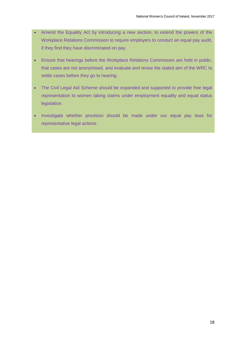- Amend the Equality Act by introducing a new section, to extend the powers of the Workplace Relations Commission to require employers to conduct an equal pay audit, if they find they have discriminated on pay.
- Ensure that hearings before the Workplace Relations Commission are held in public, that cases are not anonymised, and evaluate and revise the stated aim of the WRC to settle cases before they go to hearing.
- The Civil Legal Aid Scheme should be expanded and supported to provide free legal representation to women taking claims under employment equality and equal status legislation.
- Investigate whether provision should be made under our equal pay laws for representative legal actions.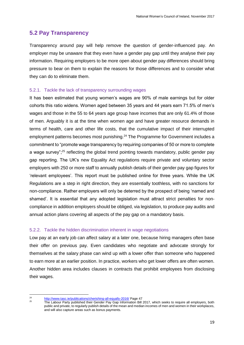# **5.2 Pay Transparency**

Transparency around pay will help remove the question of gender-influenced pay. An employer may be unaware that they even have a gender pay gap until they analyse their pay information. Requiring employers to be more open about gender pay differences should bring pressure to bear on them to explain the reasons for those differences and to consider what they can do to eliminate them.

## 5.2.1. Tackle the lack of transparency surrounding wages

It has been estimated that young women's wages are 90% of male earnings but for older cohorts this ratio widens. Women aged between 35 years and 44 years earn 71.5% of men's wages and those in the 55 to 64 years age group have incomes that are only 61.4% of those of men. Arguably it is at the time when women age and have greater resource demands in terms of health, care and other life costs, that the cumulative impact of their interrupted employment patterns becomes most punishing.<sup>24</sup> The Programme for Government includes a commitment to "promote wage transparency by requiring companies of 50 or more to complete a wage survey";<sup>25</sup> reflecting the global trend pointing towards mandatory, public gender pay gap reporting. The UK's new Equality Act regulations require private and voluntary sector employers with 250 or more staff to annually publish details of their gender pay gap figures for 'relevant employees'. This report must be published online for three years. While the UK Regulations are a step in right direction, they are essentially toothless, with no sanctions for non-compliance. Rather employers will only be deterred by the prospect of being 'named and shamed'. It is essential that any adopted legislation must attract strict penalties for noncompliance in addition employers should be obliged, via legislation, to produce pay audits and annual action plans covering all aspects of the pay gap on a mandatory basis.

## 5.2.2. Tackle the hidden discrimination inherent in wage negotiations

Low pay at an early job can affect salary at a later one, because hiring managers often base their offer on previous pay. Even candidates who negotiate and advocate strongly for themselves at the salary phase can wind up with a lower offer than someone who happened to earn more at an earlier position. In practice, workers who get lower offers are often women. Another hidden area includes clauses in contracts that prohibit employees from disclosing their wages.

 $24$ 

<sup>&</sup>lt;sup>24</sup> <http://www.tasc.ie/publications/cherishing-all-equally-2016/> Page 47<br><sup>25</sup> The Lebeur Berty published their Cender Boy Cen Information Bill

<sup>25</sup> The Labour Party published their Gender Pay Gap Information Bill 2017, which seeks to require all employers, both public and private, to regularly publish details of the mean and median incomes of men and women in their workplaces, and will also capture areas such as bonus payments.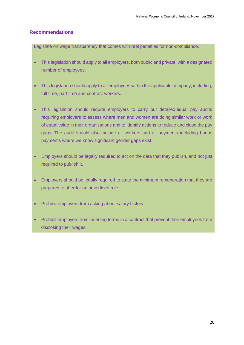## **Recommendations**

Legislate on wage transparency that comes with real penalties for non-compliance.

- This legislation should apply to all employers, both public and private, with a designated number of employees.
- This legislation should apply to all employees within the applicable company, including, full time, part time and contract workers.
- This legislation should require employers to carry out detailed equal pay audits requiring employers to assess where men and women are doing similar work or work of equal value in their organisations and to identify actions to reduce and close the pay gaps. The audit should also include all workers and all payments including bonus payments where we know significant gender gaps exist.
- Employers should be legally required to act on the data that they publish, and not just required to publish it.
- Employers should be legally required to state the minimum remuneration that they are prepared to offer for an advertised role.
- Prohibit employers from asking about salary history.
- Prohibit employers from inserting terms in a contract that prevent their employees from disclosing their wages.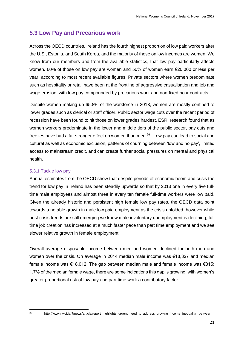# **5.3 Low Pay and Precarious work**

Across the OECD countries, Ireland has the fourth highest proportion of low paid workers after the U.S., Estonia, and South Korea, and the majority of those on low incomes are women. We know from our members and from the available statistics, that low pay particularly affects women. 60% of those on low pay are women and 50% of women earn €20,000 or less per year, according to most recent available figures. Private sectors where women predominate such as hospitality or retail have been at the frontline of aggressive casualisation and job and wage erosion, with low pay compounded by precarious work and non-fixed hour contracts.

Despite women making up 65.8% of the workforce in 2013, women are mostly confined to lower grades such as clerical or staff officer. Public sector wage cuts over the recent period of recession have been found to hit those on lower grades hardest. ESRI research found that as women workers predominate in the lower and middle tiers of the public sector, pay cuts and freezes have had a far stronger effect on women than men.<sup>26</sup> Low pay can lead to social and cultural as well as economic exclusion, patterns of churning between 'low and no pay', limited access to mainstream credit, and can create further social pressures on mental and physical health.

## 5.3.1 Tackle low pay

Annual estimates from the OECD show that despite periods of economic boom and crisis the trend for low pay in Ireland has been steadily upwards so that by 2013 one in every five fulltime male employees and almost three in every ten female full-time workers were low paid. Given the already historic and persistent high female low pay rates, the OECD data point towards a notable growth in male low paid employment as the crisis unfolded, however while post crisis trends are still emerging we know male involuntary unemployment is declining, full time job creation has increased at a much faster pace than part time employment and we see slower relative growth in female employment.

Overall average disposable income between men and women declined for both men and women over the crisis. On average in 2014 median male income was €18,327 and median female income was €18,012. The gap between median male and female income was €315; 1.7% of the median female wage, there are some indications this gap is growing, with women's greater proportional risk of low pay and part time work a contributory factor.

<sup>26</sup> 

<sup>26</sup> http://www.nwci.ie/?/news/article/report\_highlights\_urgent\_need\_to\_address\_growing\_income\_inequality\_ between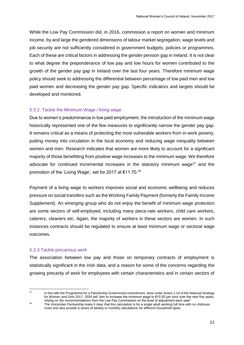While the Low Pay Commission did, in 2016, commission a report on women and minimum income, by and large the gendered dimensions of labour market segregation, wage levels and job security are not sufficiently considered in government budgets, policies or programmes. Each of these are critical factors in addressing the gender pension gap in Ireland. It is not clear to what degree the preponderance of low pay and low hours for women contributed to the growth of the gender pay gap in Ireland over the last four years. Therefore minimum wage policy should seek to addressing the differential between percentage of low paid men and low paid women and decreasing the gender pay gap. Specific indicators and targets should be developed and monitored.

## 5.3.2. Tackle the Minimum Wage / living wage

Due to women's predominance in low paid employment, the introduction of the minimum wage historically represented one of the few measures to significantly narrow the gender pay gap. It remains critical as a means of protecting the most vulnerable workers from in-work poverty, putting money into circulation in the local economy and reducing wage inequality between women and men. Research indicates that women are more likely to account for a significant majority of those benefitting from positive wage increases to the minimum wage. We therefore advocate for continued incremental increases in the statutory minimum wage $27$  and the promotion of the 'Living Wage', set for 2017 at €11.70.<sup>28</sup>

Payment of a living wage to workers improves social and economic wellbeing and reduces pressure on social transfers such as the Working Family Payment (formerly the Family Income Supplement). An emerging group who do not enjoy the benefit of minimum wage protection are some sectors of self-employed, including many piece-rate workers, child care workers, caterers, cleaners etc. Again, the majority of workers in these sectors are women. In such instances contracts should be regulated to ensure at least minimum wage or sectoral wage outcomes.

#### 5.3.3 Tackle precarious work

The association between low pay and those on temporary contracts of employment is statistically significant in the Irish data, and a reason for some of the concerns regarding the growing precarity of work for employees with certain characteristics and in certain sectors of

 $27$ 

In line with the Programme for a Partnership Government commitment, work under Action 1.14 of the National Strategy for Women and Girls 2017- 2020 will "aim to increase the minimum wage to €10.50 per hour over the next five years, relying on the recommendations from the Low Pay Commission on the level of adjustment each year"

<sup>28</sup> The Vincentian Partnership make it clear that this calculation is for a single adult working full time with no childcare costs and also provide a series of weekly or monthly calculations for different household types.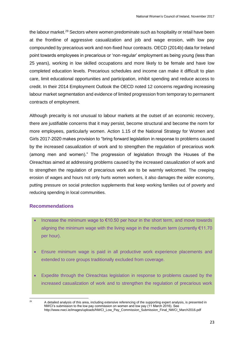the labour market.<sup>29</sup> Sectors where women predominate such as hospitality or retail have been at the frontline of aggressive casualization and job and wage erosion, with low pay compounded by precarious work and non-fixed hour contracts. OECD (2014b) data for Ireland point towards employees in precarious or 'non-regular' employment as being young (less than 25 years), working in low skilled occupations and more likely to be female and have low completed education levels. Precarious schedules and income can make it difficult to plan care, limit educational opportunities and participation, inhibit spending and reduce access to credit. In their 2014 Employment Outlook the OECD noted 12 concerns regarding increasing labour market segmentation and evidence of limited progression from temporary to permanent contracts of employment.

Although precarity is not unusual to labour markets at the outset of an economic recovery, there are justifiable concerns that it may persist, become structural and become the norm for more employees, particularly women. Action 1.15 of the National Strategy for Women and Girls 2017-2020 makes provision to "bring forward legislation in response to problems caused by the increased casualization of work and to strengthen the regulation of precarious work (among men and women)." The progression of legislation through the Houses of the Oireachtas aimed at addressing problems caused by the increased casualization of work and to strengthen the regulation of precarious work are to be warmly welcomed. The creeping erosion of wages and hours not only hurts women workers, it also damages the wider economy, putting pressure on social protection supplements that keep working families out of poverty and reducing spending in local communities.

## **Recommendations**

- Increase the minimum wage to  $\epsilon$ 10.50 per hour in the short term, and move towards aligning the minimum wage with the living wage in the medium term (currently  $€11.70$ ) per hour).
- Ensure minimum wage is paid in all productive work experience placements and extended to core groups traditionally excluded from coverage.
- Expedite through the Oireachtas legislation in response to problems caused by the increased casualization of work and to strengthen the regulation of precarious work

<sup>29</sup> 

<sup>29</sup> A detailed analysis of this area, including extensive referencing of the supporting expert analysis, is presented in NWCI's submission to the low pay commission on women and low pay (11 March 2016). See http://www.nwci.ie/images/uploads/NWCI\_Low\_Pay\_Commission\_Submission\_Final\_NWCI\_March2016.pdf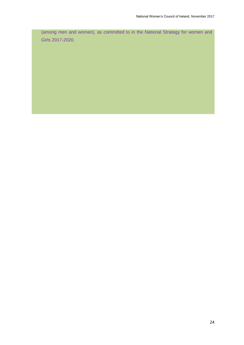(among men and women), as committed to in the National Strategy for women and Girls 2017-2020.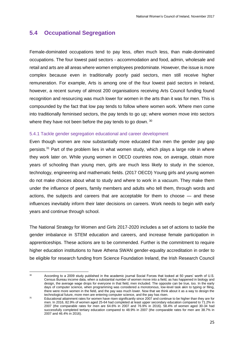# **5.4 Occupational Segregation**

Female-dominated occupations tend to pay less, often much less, than male-dominated occupations. The four lowest paid sectors - accommodation and food, admin, wholesale and retail and arts are all areas where women employees predominate. However, the issue is more complex because even in traditionally poorly paid sectors, men still receive higher remuneration. For example, Arts is among one of the four lowest paid sectors in Ireland, however, a recent survey of almost 200 organisations receiving Arts Council funding found recognition and resourcing was much lower for women in the arts than it was for men. This is compounded by the fact that low pay tends to follow where women work. Where men come into traditionally feminised sectors, the pay tends to go up; where women move into sectors where they have not been before the pay tends to go down.  $30$ 

## 5.4.1 Tackle gender segregation educational and career development

Even though women are now substantially more educated than men the gender pay gap persists.<sup>31</sup> Part of the problem lies in what women study, which plays a large role in where they work later on. While young women in OECD countries now, on average, obtain more years of schooling than young men, girls are much less likely to study in the science, technology, engineering and mathematic fields. (2017 OECD) Young girls and young women do not make choices about what to study and where to work in a vacuum. They make them under the influence of peers, family members and adults who tell them, through words and actions, the subjects and careers that are acceptable for them to choose — and these influences inevitably inform their later decisions on careers. Work needs to begin with early years and continue through school.

The National Strategy for Women and Girls 2017-2020 includes a set of actions to tackle the gender imbalance in STEM education and careers, and increase female participation in apprenticeships. These actions are to be commended. Further is the commitment to require higher education institutions to have Athena SWAN gender-equality accreditation in order to be eligible for research funding from Science Foundation Ireland, the Irish Research Council

 $30<sup>2</sup>$ 

<sup>30</sup> According to a 2009 study published in the academic journal Social Forces that looked at 50 years' worth of U.S. Census Bureau income data, when a substantial number of women move into a field, as has happened in biology and design, the average wage drops for everyone in that field, men included. The opposite can be true, too. In the early days of computer science, when programming was considered a monotonous, low-level task akin to typing or filing, there were more women in the field, and the pay was much lower. Now that we think about it as a way to design the technological future, more men are entering computer science, and the pay has risen.

<sup>31</sup> Educational attainment rates for women have risen significantly since 2007 and continue to be higher than they are for men. In 2016, 82.9% of women aged 25-64 had completed at least upper secondary education compared to 71.2% in 2007 (the comparable rates for men are 64.6% in 2007 and 76.9% in 2016). 58.4% of women aged 30-34 had successfully completed tertiary education compared to 48.9% in 2007 (the comparable rates for men are 38.7% in 2007 and 46.4% in 2016).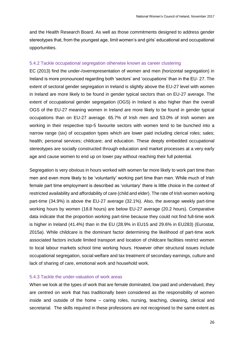and the Health Research Board. As well as those commitments designed to address gender stereotypes that, from the youngest age, limit women's and girls' educational and occupational opportunities.

#### 5.4.2 Tackle occupational segregation otherwise known as career clustering

EC (2013) find the under-/overrepresentation of women and men (horizontal segregation) in Ireland is more pronounced regarding both 'sectors' and 'occupations' than in the EU- 27. The extent of sectoral gender segregation in Ireland is slightly above the EU-27 level with women in Ireland are more likely to be found in gender typical sectors than on EU-27 average. The extent of occupational gender segregation (OGS) in Ireland is also higher than the overall OGS of the EU-27 meaning women in Ireland are more likely to be found in gender typical occupations than on EU-27 average. 65.7% of Irish men and 53.0% of Irish women are working in their respective top-5 favourite sectors with women tend to be bunched into a narrow range (six) of occupation types which are lower paid including clerical roles; sales; health; personal services; childcare; and education. These deeply embedded occupational stereotypes are socially constructed through education and market processes at a very early age and cause women to end up on lower pay without reaching their full potential.

Segregation is very obvious in hours worked with women far more likely to work part time than men and even more likely to be 'voluntarily' working part time than men. While much of Irish female part time employment is described as 'voluntary' there is little choice in the context of restricted availability and affordability of care (child and elder). The rate of Irish women working part-time (34.9%) is above the EU-27 average (32.1%). Also, the average weekly part-time working hours by women (18.8 hours) are below EU-27 average (20.2 hours). Comparative data indicate that the proportion working part-time because they could not find full-time work is higher in Ireland (41.4%) than in the EU (28.9% in EU15 and 29.6% in EU283) (Eurostat, 2015a). While childcare is the dominant factor determining the likelihood of part-time work associated factors include limited transport and location of childcare facilities restrict women to local labour markets school time working hours. However other structural issues include occupational segregation, social welfare and tax treatment of secondary earnings, culture and lack of sharing of care, emotional work and household work.

#### 5.4.3 Tackle the under-valuation of work areas

When we look at the types of work that are female dominated, low paid and undervalued, they are centred on work that has traditionally been considered as the responsibility of women inside and outside of the home – caring roles, nursing, teaching, cleaning, clerical and secretarial. The skills required in these professions are not recognised to the same extent as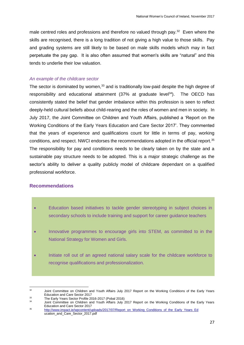male centred roles and professions and therefore no valued through pay.<sup>32</sup> Even where the skills are recognised, there is a long tradition of not giving a high value to those skills. Pay and grading systems are still likely to be based on male skills models which may in fact perpetuate the pay gap. It is also often assumed that women's skills are "natural" and this tends to underlie their low valuation.

#### *An example of the childcare sector*

The sector is dominated by women,<sup>33</sup> and is traditionally low-paid despite the high degree of responsibility and educational attainment  $(37\%$  at graduate level<sup>34</sup>). The OECD has consistently stated the belief that gender imbalance within this profession is seen to reflect deeply-held cultural beliefs about child-rearing and the roles of women and men in society. In July 2017, the Joint Committee on Children and Youth Affairs, published a 'Report on the Working Conditions of the Early Years Education and Care Sector 2017'. They commented that the years of experience and qualifications count for little in terms of pay, working conditions, and respect. NWCI endorses the recommendations adopted in the official report.<sup>35</sup> The responsibility for pay and conditions needs to be clearly taken on by the state and a sustainable pay structure needs to be adopted. This is a major strategic challenge as the sector's ability to deliver a quality publicly model of childcare dependant on a qualified professional workforce.

## **Recommendations**

- Education based initiatives to tackle gender stereotyping in subject choices in secondary schools to include training and support for career guidance teachers
- Innovative programmes to encourage girls into STEM, as committed to in the National Strategy for Women and Girls.
- Initiate roll out of an agreed national salary scale for the childcare workforce to recognise qualifications and professionalization.

 $32$ <sup>32</sup> Joint Committee on Children and Youth Affairs July 2017 Report on the Working Conditions of the Early Years Education and Care Sector 2017

<sup>&</sup>lt;sup>33</sup> The Early Years Sector Profile 2016-2017 (Pobal 2016)<sup>34</sup>

Joint Committee on Children and Youth Affairs July 2017 Report on the Working Conditions of the Early Years Education and Care Sector 2017

<sup>35</sup> [http://www.impact.ie/wpcontent/uploads/2017/07/Report\\_on\\_Working\\_Conditions\\_of\\_the\\_Early\\_Years\\_Ed](http://www.impact.ie/wpcontent/uploads/2017/07/Report_on_Working_Conditions_of_the_Early_Years_Ed) ucation\_and\_Care\_Sector\_2017.pdf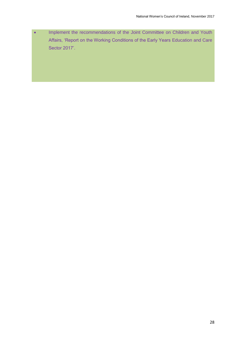• Implement the recommendations of the Joint Committee on Children and Youth Affairs, 'Report on the Working Conditions of the Early Years Education and Care Sector 2017'.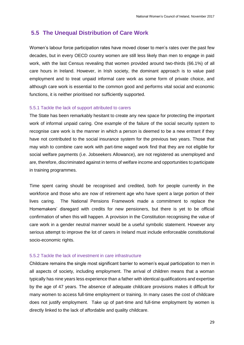## **5.5 The Unequal Distribution of Care Work**

Women's labour force participation rates have moved closer to men's rates over the past few decades, but in every OECD country women are still less likely than men to engage in paid work, with the last Census revealing that women provided around two-thirds (66.1%) of all care hours in Ireland. However, in Irish society, the dominant approach is to value paid employment and to treat unpaid informal care work as some form of private choice, and although care work is essential to the common good and performs vital social and economic functions, it is neither prioritised nor sufficiently supported.

#### 5.5.1 Tackle the lack of support attributed to carers

The State has been remarkably hesitant to create any new space for protecting the important work of informal unpaid caring. One example of the failure of the social security system to recognise care work is the manner in which a person is deemed to be a new entrant if they have not contributed to the social insurance system for the previous two years. Those that may wish to combine care work with part-time waged work find that they are not eligible for social welfare payments (i.e. Jobseekers Allowance), are not registered as unemployed and are, therefore, discriminated against in terms of welfare income and opportunities to participate in training programmes.

Time spent caring should be recognised and credited, both for people currently in the workforce and those who are now of retirement age who have spent a large portion of their lives caring. The National Pensions Framework made a commitment to replace the Homemakers' disregard with credits for new pensioners, but there is yet to be official confirmation of when this will happen. A provision in the Constitution recognising the value of care work in a gender neutral manner would be a useful symbolic statement. However any serious attempt to improve the lot of carers in Ireland must include enforceable constitutional socio-economic rights.

#### 5.5.2 Tackle the lack of investment in care infrastructure

Childcare remains the single most significant barrier to women's equal participation to men in all aspects of society, including employment. The arrival of children means that a woman typically has nine years less experience than a father with identical qualifications and expertise by the age of 47 years. The absence of adequate childcare provisions makes it difficult for many women to access full-time employment or training. In many cases the cost of childcare does not justify employment. Take up of part-time and full-time employment by women is directly linked to the lack of affordable and quality childcare.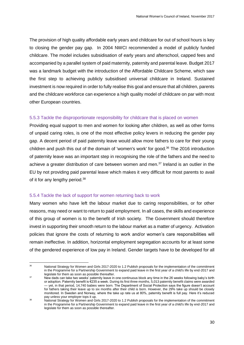The provision of high quality affordable early years and childcare for out of school hours is key to closing the gender pay gap. In 2004 NWCI recommended a model of publicly funded childcare. The model includes subsidisation of early years and afterschool, capped fees and accompanied by a parallel system of paid maternity, paternity and parental leave. Budget 2017 was a landmark budget with the introduction of the Affordable Childcare Scheme, which saw the first step to achieving publicly subsidised universal childcare in Ireland. Sustained investment is now required in order to fully realise this goal and ensure that all children, parents and the childcare workforce can experience a high quality model of childcare on par with most other European countries.

## 5.5.3 Tackle the disproportionate responsibility for childcare that is placed on women

Providing equal support to men and women for looking after children, as well as other forms of unpaid caring roles, is one of the most effective policy levers in reducing the gender pay gap. A decent period of paid paternity leave would allow more fathers to care for their young children and push this out of the domain of 'women's work' for good.<sup>36</sup> The 2016 introduction of paternity leave was an important step in recognising the role of the fathers and the need to achieve a greater distribution of care between women and men.<sup>37</sup> Ireland is an outlier in the EU by not providing paid parental leave which makes it very difficult for most parents to avail of it for any lengthy period.<sup>38</sup>

## 5.5.4 Tackle the lack of support for women returning back to work

Many women who have left the labour market due to caring responsibilities, or for other reasons, may need or want to return to paid employment. In all cases, the skills and experience of this group of women is to the benefit of Irish society. The Government should therefore invest in supporting their smooth return to the labour market as a matter of urgency. Activation policies that ignore the costs of returning to work and/or women's care responsibilities will remain ineffective. In addition, horizontal employment segregation accounts for at least some of the gendered experience of low pay in Ireland. Gender targets have to be developed for all

<sup>36</sup> National Strategy for Women and Girls 2017-2020 to 1.2 Publish proposals for the implementation of the commitment in the Programme for a Partnership Government to expand paid leave in the first year of a child's life by end-2017 and legislate for them as soon as possible thereafter.

<sup>&</sup>lt;sup>37</sup> New dads can take two weeks' paternity leave in one continuous block any time in the 26 weeks following baby's birth or adoption. Paternity benefit is €235 a week. During its first three months, 5,013 paternity benefit claims were awarded — yet, in that period, 14,740 babies were born. The Department of Social Protection says the figure doesn't account for fathers taking their leave up to six months after their child is born. However, the 29% take up should be closely monitored. In Sweden and Norway, where the take up rate us at 80%, paternity benefit is full pay. Here it's reduced pay unless your employer tops it up.

<sup>&</sup>lt;sup>38</sup> National Strategy for Women and Girls 2017-2020 to 1.2 Publish proposals for the implementation of the commitment in the Programme for a Partnership Government to expand paid leave in the first year of a child's life by end-2017 and legislate for them as soon as possible thereafter.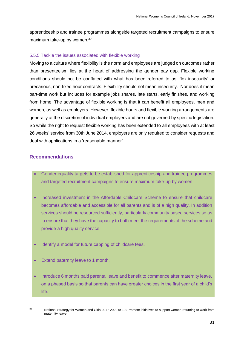apprenticeship and trainee programmes alongside targeted recruitment campaigns to ensure maximum take-up by women.<sup>39</sup>

#### 5.5.5 Tackle the issues associated with flexible working

Moving to a culture where flexibility is the norm and employees are judged on outcomes rather than presenteeism lies at the heart of addressing the gender pay gap. Flexible working conditions should not be conflated with what has been referred to as 'flex-insecurity' or precarious, non-fixed hour contracts. Flexibility should not mean insecurity. Nor does it mean part-time work but includes for example jobs shares, late starts, early finishes, and working from home. The advantage of flexible working is that it can benefit all employees, men and women, as well as employers. However, flexible hours and flexible working arrangements are generally at the discretion of individual employers and are not governed by specific legislation. So while the right to request flexible working has been extended to all employees with at least 26 weeks' service from 30th June 2014, employers are only required to consider requests and deal with applications in a 'reasonable manner'.

## **Recommendations**

- Gender equality targets to be established for apprenticeship and trainee programmes and targeted recruitment campaigns to ensure maximum take-up by women.
- Increased investment in the Affordable Childcare Scheme to ensure that childcare becomes affordable and accessible for all parents and is of a high quality. In addition services should be resourced sufficiently, particularly community based services so as to ensure that they have the capacity to both meet the requirements of the scheme and provide a high quality service.
- Identify a model for future capping of childcare fees.
- Extend paternity leave to 1 month.
- Introduce 6 months paid parental leave and benefit to commence after maternity leave, on a phased basis so that parents can have greater choices in the first year of a child's life.

 $20$ National Strategy for Women and Girls 2017-2020 to 1.3 Promote initiatives to support women returning to work from maternity leave.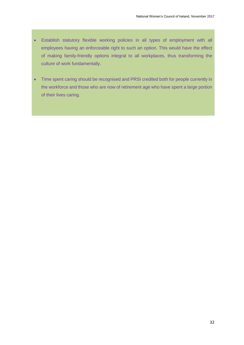- Establish statutory flexible working policies in all types of employment with all employees having an enforceable right to such an option. This would have the effect of making family-friendly options integral to all workplaces, thus transforming the culture of work fundamentally.
- Time spent caring should be recognised and PRSI credited both for people currently in the workforce and those who are now of retirement age who have spent a large portion of their lives caring.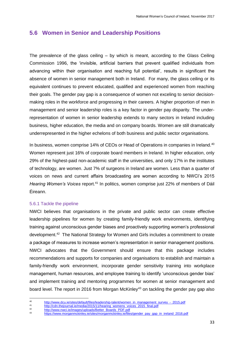# **5.6 Women in Senior and Leadership Positions**

The prevalence of the glass ceiling – by which is meant, according to the Glass Ceiling Commission 1996, the 'invisible, artificial barriers that prevent qualified individuals from advancing within their organisation and reaching full potential', results in significant the absence of women in senior management both in Ireland. For many, the glass ceiling or its equivalent continues to prevent educated, qualified and experienced women from reaching their goals. The gender pay gap is a consequence of women not exceling to senior decisionmaking roles in the workforce and progressing in their careers. A higher proportion of men in management and senior leadership roles is a key factor in gender pay disparity. The underrepresentation of women in senior leadership extends to many sectors in Ireland including business, higher education, the media and on company boards. Women are still dramatically underrepresented in the higher echelons of both business and public sector organisations.

In business, women comprise 14% of CEOs or Head of Operations in companies in Ireland.<sup>40</sup> Women represent just 16% of corporate board members in Ireland. In higher education, only 29% of the highest-paid non-academic staff in the universities, and only 17% in the institutes of technology, are women. Just 7% of surgeons in Ireland are women. Less than a quarter of voices on news and current affairs broadcasting are women according to NWCI's 2015 *Hearing Women's Voices report.<sup>41</sup>* In politics, women comprise just 22% of members of Dáil Éireann.

## 5.6.1 Tackle the pipeline

NWCI believes that organisations in the private and public sector can create effective leadership pipelines for women by creating family-friendly work environments, identifying training against unconscious gender biases and proactively supporting women's professional development.<sup>42</sup> The National Strategy for Women and Girls includes a commitment to create a package of measures to increase women's representation in senior management positions. NWCI advocates that the Government should ensure that this package includes recommendations and supports for companies and organisations to establish and maintain a family-friendly work environment, incorporate gender sensitivity training into workplace management, human resources, and employee training to identify 'unconscious gender bias' and implement training and mentoring programmes for women at senior management and board level. The report in 2016 from Morgan McKinley<sup>43</sup> on tackling the gender pay gap also

 $40$ 40 [http://www.dcu.ie/sites/default/files/leadership-talent/women\\_in\\_management\\_survey\\_-\\_2015.pdf](http://www.dcu.ie/sites/default/files/leadership-talent/women_in_management_survey_-_2015.pdf)<br>41 http://ada.theigurnal.ja/madia/2015/11/heering\_uramene\_usines\_2015\_fineLadf

<sup>41</sup> [http://cdn.thejournal.ie/media/2015/11/hearing\\_womens\\_voices\\_2015\\_final.pdf](http://cdn.thejournal.ie/media/2015/11/hearing_womens_voices_2015_final.pdf)

<sup>42</sup> [http://www.nwci.ie/images/uploads/Better\\_Boards\\_PDF.pdf](http://www.nwci.ie/images/uploads/Better_Boards_PDF.pdf)<br>43 https://www.myci.ie/images/uploads/Better\_Boards\_PDF.pdf

[https://www.morganmckinley.ie/sites/morganmckinley.ie/files/gender\\_pay\\_gap\\_in\\_ireland\\_2016.pdf](https://www.morganmckinley.ie/sites/morganmckinley.ie/files/gender_pay_gap_in_ireland_2016.pdf)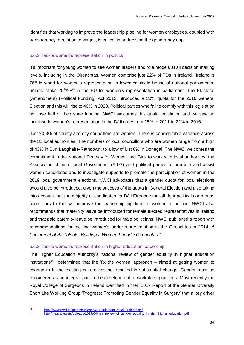identifies that working to improve the leadership pipeline for women employees, coupled with transparency in relation to wages, is critical in addressing the gender pay gap.

## 5.6.2 Tackle women's representation in politics

It's important for young women to see women leaders and role models at all decision making levels, including in the Oireachtas. Women comprise just 22% of TDs in Ireland. Ireland is 76<sup>th</sup> in world for women's representation in lower or single house of national parliaments. Ireland ranks 25<sup>th</sup>/28<sup>th</sup> in the EU for women's representation in parliament. The Electoral (Amendment) (Political Funding) Act 2012 introduced a 30% quota for the 2016 General Election and this will rise to 40% in 2023. Political parties who fail to comply with this legislation will lose half of their state funding. NWCI welcomes this quota legislation and we saw an increase in women's representation in the Dáíl grow from 15% in 2011 to 22% in 2016.

Just 20.8% of county and city councillors are women. There is considerable variance across the 31 local authorities. The numbers of local councillors who are women range from a high of 43% in Dun Laoghaire-Rathdown, to a low of just 8% in Donegal. The NWCI welcomes the commitment in the National Strategy for Women and Girls to work with local authorities, the Association of Irish Local Government (AILG) and political parties to promote and assist women candidates and to investigate supports to promote the participation of women in the 2019 local government elections. NWCI advocates that a gender quota for local elections should also be introduced, given the success of the quota in General Election and also taking into account that the majority of candidates for Dáil Éireann start off their political careers as councillors to this will improve the leadership pipeline for women in politics. NWCI also recommends that maternity leave be introduced for female elected representatives in Ireland and that paid paternity leave be introduced for male politicians. NWCI published a report with recommendations for tackling women's under-representation in the Oireachtas in 2014: *A Parliament of All Talents: Building a Women Friendly Oireachtas<sup>44</sup>*

## 5.6.3 Tackle women's representation in higher education leadership

The Higher Education Authority's national review of gender equality in higher education institutions<sup>45</sup> determined that the 'fix the women' approach  $-$  aimed at getting women to change to fit the existing culture has not resulted in substantial change. Gender must be considered as an integral part in the development of workplace practices. Most recently the Royal College of Surgeons in Ireland identified in their 2017 Report of the Gender Diversity Short Life Working Group 'Progress: Promoting Gender Equality In Surgery' that a key driver

 $\overline{A}$ <sup>44</sup> [http://www.nwci.ie/images/uploads/A\\_Parliament\\_of\\_all\\_Talents.pdf](http://www.nwci.ie/images/uploads/A_Parliament_of_all_Talents.pdf)<br><sup>45</sup> http://beg.jo/esecte/uploads/2017/04/beg\_raviaw\_of\_gapder\_equality

[http://hea.ie/assets/uploads/2017/04/hea\\_review\\_of\\_gender\\_equality\\_in\\_irish\\_higher\\_education.pdf](http://hea.ie/assets/uploads/2017/04/hea_review_of_gender_equality_in_irish_higher_education.pdf)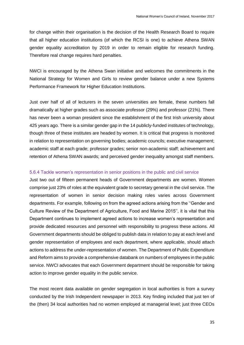for change within their organisation is the decision of the Health Research Board to require that all higher education institutions (of which the RCSI is one) to achieve Athena SWAN gender equality accreditation by 2019 in order to remain eligible for research funding. Therefore real change requires hard penalties.

NWCI is encouraged by the Athena Swan initiative and welcomes the commitments in the National Strategy for Women and Girls to review gender balance under a new Systems Performance Framework for Higher Education Institutions.

Just over half of all of lecturers in the seven universities are female, these numbers fall dramatically at higher grades such as associate professor (29%) and professor (21%). There has never been a woman president since the establishment of the first Irish university about 425 years ago. There is a similar gender gap in the 14 publicly-funded institutes of technology, though three of these institutes are headed by women. It is critical that progress is monitored in relation to representation on governing bodies; academic councils; executive management; academic staff at each grade; professor grades; senior non-academic staff; achievement and retention of Athena SWAN awards; and perceived gender inequality amongst staff members.

#### 5.6.4 Tackle women's representation in senior positions in the public and civil service

Just two out of fifteen permanent heads of Government departments are women. Women comprise just 23% of roles at the equivalent grade to secretary general in the civil service. The representation of women in senior decision making roles varies across Government departments. For example, following on from the agreed actions arising from the ''Gender and Culture Review of the Department of Agriculture, Food and Marine 2015'', it is vital that this Department continues to implement agreed actions to increase women's representation and provide dedicated resources and personnel with responsibility to progress these actions. All Government departments should be obliged to publish data in relation to pay at each level and gender representation of employees and each department, where applicable, should attach actions to address the under-representation of women. The Department of Public Expenditure and Reform aims to provide a comprehensive databank on numbers of employees in the public service. NWCI advocates that each Government department should be responsible for taking action to improve gender equality in the public service.

The most recent data available on gender segregation in local authorities is from a survey conducted by the Irish Independent newspaper in 2013. Key finding included that just ten of the (then) 34 local authorities had no women employed at managerial level; just three CEOs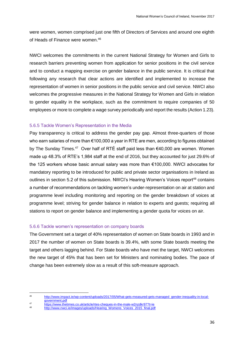were women, women comprised just one fifth of Directors of Services and around one eighth of Heads of Finance were women.<sup>46</sup>

NWCI welcomes the commitments in the current National Strategy for Women and Girls to research barriers preventing women from application for senior positions in the civil service and to conduct a mapping exercise on gender balance in the public service. It is critical that following any research that clear actions are identified and implemented to increase the representation of women in senior positions in the public service and civil service. NWCI also welcomes the progressive measures in the National Strategy for Women and Girls in relation to gender equality in the workplace, such as the commitment to require companies of 50 employees or more to complete a wage survey periodically and report the results (Action 1.23).

#### 5.6.5 Tackle Women's Representation in the Media

Pay transparency is critical to address the gender pay gap. Almost three-quarters of those who earn salaries of more than €100,000 a year in RTE are men, according to figures obtained by The Sunday Times.<sup>47</sup> Over half of RTÉ staff paid less than €40,000 are women. Women made up 48.3% of RTE's 1,984 staff at the end of 2016, but they accounted for just 29.6% of the 125 workers whose basic annual salary was more than €100,000. NWCI advocates for mandatory reporting to be introduced for public and private sector organisations in Ireland as outlines in section 5.2 of this submission. NWCI's Hearing Women's Voices report<sup>48</sup> contains a number of recommendations on tackling women's under-representation on air at station and programme level including monitoring and reporting on the gender breakdown of voices at programme level; striving for gender balance in relation to experts and guests; requiring all stations to report on gender balance and implementing a gender quota for voices on air.

#### 5.6.6 Tackle women's representation on company boards

The Government set a target of 40% representation of women on State boards in 1993 and in 2017 the number of women on State boards is 39.4%, with some State boards meeting the target and others lagging behind. For State boards who have met the target, NWCI welcomes the new target of 45% that has been set for Ministers and nominating bodies. The pace of change has been extremely slow as a result of this soft-measure approach.

<sup>46</sup> [http://www.impact.ie/wp-content/uploads/2017/05/What-gets-measured-gets-managed\\_gender-inequality-in-local](http://www.impact.ie/wp-content/uploads/2017/05/What-gets-measured-gets-managed_gender-inequality-in-local-government.pdf)[government.pdf](http://www.impact.ie/wp-content/uploads/2017/05/What-gets-measured-gets-managed_gender-inequality-in-local-government.pdf)

<sup>47&</sup>lt;br>
https://www.thetimes.co.uk/article/rtes-cheques-in-the-male-w2nzdkr97?t=ie<br>
48

http://www.nwci.ie/images/uploads/Hearing\_Womens\_Voices\_2015\_final.pdf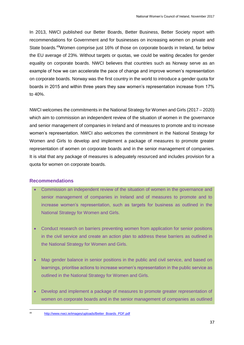In 2013, NWCI published our Better Boards, Better Business, Better Society report with recommendations for Government and for businesses on increasing women on private and State boards.<sup>49</sup>Women comprise just 16% of those on corporate boards in Ireland, far below the EU average of 23%. Without targets or quotas, we could be waiting decades for gender equality on corporate boards. NWCI believes that countries such as Norway serve as an example of how we can accelerate the pace of change and improve women's representation on corporate boards. Norway was the first country in the world to introduce a gender quota for boards in 2015 and within three years they saw women's representation increase from 17% to 40%.

NWCI welcomes the commitments in the National Strategy for Women and Girls (2017 – 2020) which aim to commission an independent review of the situation of women in the governance and senior management of companies in Ireland and of measures to promote and to increase women's representation. NWCI also welcomes the commitment in the National Strategy for Women and Girls to develop and implement a package of measures to promote greater representation of women on corporate boards and in the senior management of companies. It is vital that any package of measures is adequately resourced and includes provision for a quota for women on corporate boards.

## **Recommendations**

**.** 

- Commission an independent review of the situation of women in the governance and senior management of companies in Ireland and of measures to promote and to increase women's representation, such as targets for business as outlined in the National Strategy for Women and Girls.
- Conduct research on barriers preventing women from application for senior positions in the civil service and create an action plan to address these barriers as outlined in the National Strategy for Women and Girls.
- Map gender balance in senior positions in the public and civil service, and based on learnings, prioritise actions to increase women's representation in the public service as outlined in the National Strategy for Women and Girls.
- Develop and implement a package of measures to promote greater representation of women on corporate boards and in the senior management of companies as outlined

[http://www.nwci.ie/images/uploads/Better\\_Boards\\_PDF.pdf](http://www.nwci.ie/images/uploads/Better_Boards_PDF.pdf)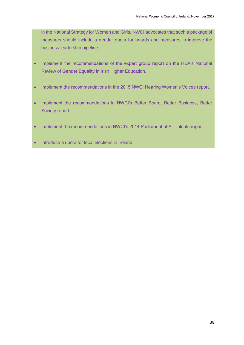in the National Strategy for Women and Girls. NWCI advocates that such a package of measures should include a gender quota for boards and measures to improve the business leadership pipeline.

- Implement the recommendations of the expert group report on the HEA's National Review of Gender Equality in Irish Higher Education.
- Implement the recommendations in the 2015 NWCI Hearing Women's Voices report.
- Implement the recommendations in NWCI's Better Board, Better Business, Better Society report.
- Implement the recommendations in NWCI's 2014 Parliament of All Talents report.
- Introduce a quota for local elections in Ireland.